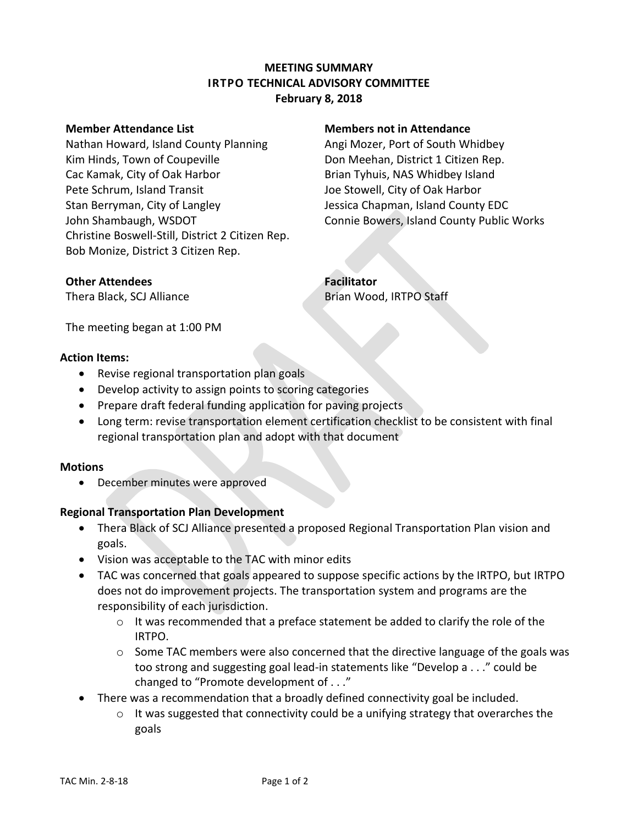# **MEETING SUMMARY IRTPO TECHNICAL ADVISORY COMMITTEE February 8, 2018**

#### **Member Attendance List Members not in Attendance**

Nathan Howard, Island County Planning Angi Mozer, Port of South Whidbey Kim Hinds, Town of Coupeville **Example 20** Don Meehan, District 1 Citizen Rep. Cac Kamak, City of Oak Harbor **Brian Tyhuis, NAS Whidbey Island** Pete Schrum, Island Transit **Joe Stowell, City of Oak Harbor** Stan Berryman, City of Langley The Massica Chapman, Island County EDC John Shambaugh, WSDOT Connie Bowers, Island County Public Works Christine Boswell-Still, District 2 Citizen Rep. Bob Monize, District 3 Citizen Rep.

## **Other Attendees Facilitator**

Thera Black, SCJ Alliance **Brian Wood, IRTPO Staff** 

The meeting began at 1:00 PM

## **Action Items:**

- Revise regional transportation plan goals
- Develop activity to assign points to scoring categories
- Prepare draft federal funding application for paving projects
- Long term: revise transportation element certification checklist to be consistent with final regional transportation plan and adopt with that document

## **Motions**

December minutes were approved

## **Regional Transportation Plan Development**

- Thera Black of SCJ Alliance presented a proposed Regional Transportation Plan vision and goals.
- Vision was acceptable to the TAC with minor edits
- TAC was concerned that goals appeared to suppose specific actions by the IRTPO, but IRTPO does not do improvement projects. The transportation system and programs are the responsibility of each jurisdiction.
	- $\circ$  It was recommended that a preface statement be added to clarify the role of the IRTPO.
	- $\circ$  Some TAC members were also concerned that the directive language of the goals was too strong and suggesting goal lead-in statements like "Develop a . . ." could be changed to "Promote development of . . ."
- There was a recommendation that a broadly defined connectivity goal be included.
	- $\circ$  It was suggested that connectivity could be a unifying strategy that overarches the goals